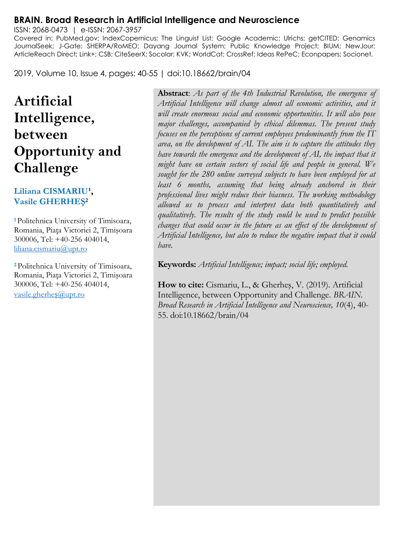#### **BRAIN. Broad Research in Artificial Intelligence and Neuroscience**

ISSN: 2068-0473 | e-ISSN: 2067-3957 Covered in: PubMed.gov; IndexCopernicus; The Linguist List; Google Academic; Ulrichs; getCITED; Genamics JournalSeek; J-Gate; SHERPA/RoMEO; Dayang Journal System; Public Knowledge Project; BIUM; NewJour; ArticleReach Direct; Link+; CSB; CiteSeerX; Socolar; KVK; WorldCat; CrossRef; Ideas RePeC; Econpapers; Socionet.

2019, Volume 10, Issue 4, pages: 40-55 | doi:10.18662/brain/04

# **Artificial Intelligence, between Opportunity and Challenge**

#### Liliana CISMARIU<sup>1</sup>, **Vasile GHERHEŞ<sup>2</sup>**

**<sup>1</sup>**Politehnica University of Timisoara, Romania, Piaţa Victoriei 2, Timişoara 300006, Tel: +40-256 404014, [liliana.cismariu@upt.ro](mailto:liliana.cismariu@upt.ro)

**<sup>2</sup>**Politehnica University of Timisoara, Romania, Piaţa Victoriei 2, Timişoara 300006, Tel: +40-256 404014, [vasile.gherhe](mailto:vasile.gherheș@upt.ro)ș@upt.ro

**Abstract**: *As part of the 4th Industrial Revolution, the emergence of Artificial Intelligence will change almost all economic activities, and it will create enormous social and economic opportunities. It will also pose major challenges, accompanied by ethical dilemmas. The present study focuses on the perceptions of current employees predominantly from the IT area, on the development of AI. The aim is to capture the attitudes they have towards the emergence and the development of AI, the impact that it might have on certain sectors of social life and people in general. We sought for the 280 online surveyed subjects to have been employed for at least 6 months, assuming that being already anchored in their professional lives might reduce their biasness. The working methodology allowed us to process and interpret data both quantitatively and qualitatively. The results of the study could be used to predict possible changes that could occur in the future as an effect of the development of Artificial Intelligence, but also to reduce the negative impact that it could have.*

**Keywords:** *Artificial Intelligence; impact; social life; employed.*

**How to cite:** Cismariu, L., & Gherheş, V. (2019). Artificial Intelligence, between Opportunity and Challenge. *BRAIN. Broad Research in Artificial Intelligence and Neuroscience, 10*(4), 40- 55. doi:10.18662/brain/04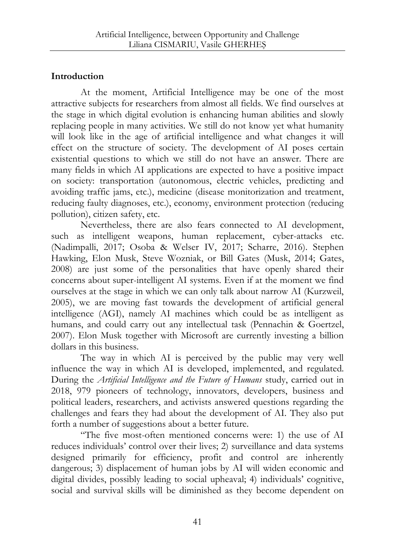## **Introduction**

At the moment, Artificial Intelligence may be one of the most attractive subjects for researchers from almost all fields. We find ourselves at the stage in which digital evolution is enhancing human abilities and slowly replacing people in many activities. We still do not know yet what humanity will look like in the age of artificial intelligence and what changes it will effect on the structure of society. The development of AI poses certain existential questions to which we still do not have an answer. There are many fields in which AI applications are expected to have a positive impact on society: transportation (autonomous, electric vehicles, predicting and avoiding traffic jams, etc.), medicine (disease monitorization and treatment, reducing faulty diagnoses, etc.), economy, environment protection (reducing pollution), citizen safety, etc.

Nevertheless, there are also fears connected to AI development, such as intelligent weapons, human replacement, cyber-attacks etc. (Nadimpalli, 2017; Osoba & Welser IV, 2017; Scharre, 2016). Stephen Hawking, Elon Musk, Steve Wozniak, or Bill Gates (Musk, 2014; Gates, 2008) are just some of the personalities that have openly shared their concerns about super-intelligent AI systems. Even if at the moment we find ourselves at the stage in which we can only talk about narrow AI (Kurzweil, 2005), we are moving fast towards the development of artificial general intelligence (AGI), namely AI machines which could be as intelligent as humans, and could carry out any intellectual task (Pennachin & Goertzel, 2007). Elon Musk together with Microsoft are currently investing a billion dollars in this business.

The way in which AI is perceived by the public may very well influence the way in which AI is developed, implemented, and regulated. During the *Artificial Intelligence and the Future of Humans* study, carried out in 2018, 979 pioneers of technology, innovators, developers, business and political leaders, researchers, and activists answered questions regarding the challenges and fears they had about the development of AI. They also put forth a number of suggestions about a better future.

"The five most-often mentioned concerns were: 1) the use of AI reduces individuals' control over their lives; 2) surveillance and data systems designed primarily for efficiency, profit and control are inherently dangerous; 3) displacement of human jobs by AI will widen economic and digital divides, possibly leading to social upheaval; 4) individuals' cognitive, social and survival skills will be diminished as they become dependent on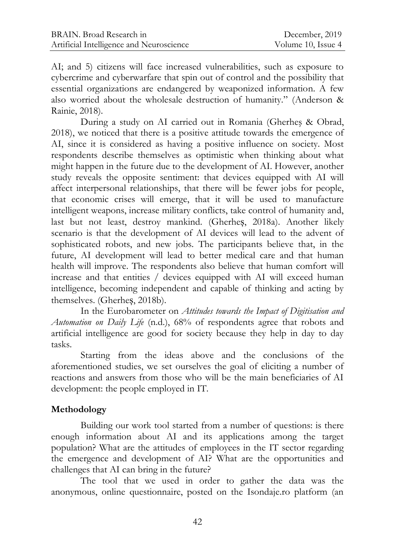AI; and 5) citizens will face increased vulnerabilities, such as exposure to cybercrime and cyberwarfare that spin out of control and the possibility that essential organizations are endangered by weaponized information. A few also worried about the wholesale destruction of humanity." (Anderson & Rainie, 2018).

During a study on AI carried out in Romania (Gherheş & Obrad, 2018), we noticed that there is a positive attitude towards the emergence of AI, since it is considered as having a positive influence on society. Most respondents describe themselves as optimistic when thinking about what might happen in the future due to the development of AI. However, another study reveals the opposite sentiment: that devices equipped with AI will affect interpersonal relationships, that there will be fewer jobs for people, that economic crises will emerge, that it will be used to manufacture intelligent weapons, increase military conflicts, take control of humanity and, last but not least, destroy mankind. (Gherheș, 2018a). Another likely scenario is that the development of AI devices will lead to the advent of sophisticated robots, and new jobs. The participants believe that, in the future, AI development will lead to better medical care and that human health will improve. The respondents also believe that human comfort will increase and that entities / devices equipped with AI will exceed human intelligence, becoming independent and capable of thinking and acting by themselves. (Gherheș, 2018b).

In the Eurobarometer on *Attitudes towards the Impact of Digitisation and Automation on Daily Life* (n.d.), 68% of respondents agree that robots and artificial intelligence are good for society because they help in day to day tasks.

Starting from the ideas above and the conclusions of the aforementioned studies, we set ourselves the goal of eliciting a number of reactions and answers from those who will be the main beneficiaries of AI development: the people employed in IT.

### **Methodology**

Building our work tool started from a number of questions: is there enough information about AI and its applications among the target population? What are the attitudes of employees in the IT sector regarding the emergence and development of AI? What are the opportunities and challenges that AI can bring in the future?

The tool that we used in order to gather the data was the anonymous, online questionnaire, posted on the Isondaje.ro platform (an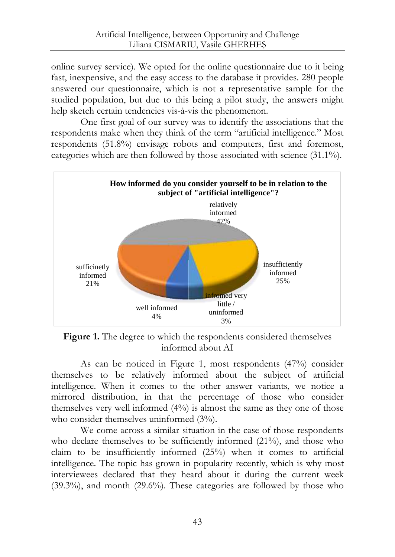online survey service). We opted for the online questionnaire due to it being fast, inexpensive, and the easy access to the database it provides. 280 people answered our questionnaire, which is not a representative sample for the studied population, but due to this being a pilot study, the answers might help sketch certain tendencies vis-à-vis the phenomenon.

One first goal of our survey was to identify the associations that the respondents make when they think of the term "artificial intelligence." Most respondents (51.8%) envisage robots and computers, first and foremost, categories which are then followed by those associated with science (31.1%).



Figure 1. The degree to which the respondents considered themselves informed about AI

As can be noticed in Figure 1, most respondents (47%) consider themselves to be relatively informed about the subject of artificial intelligence. When it comes to the other answer variants, we notice a mirrored distribution, in that the percentage of those who consider themselves very well informed (4%) is almost the same as they one of those who consider themselves uninformed  $(3%)$ .

We come across a similar situation in the case of those respondents who declare themselves to be sufficiently informed (21%), and those who claim to be insufficiently informed (25%) when it comes to artificial intelligence. The topic has grown in popularity recently, which is why most interviewees declared that they heard about it during the current week (39.3%), and month (29.6%). These categories are followed by those who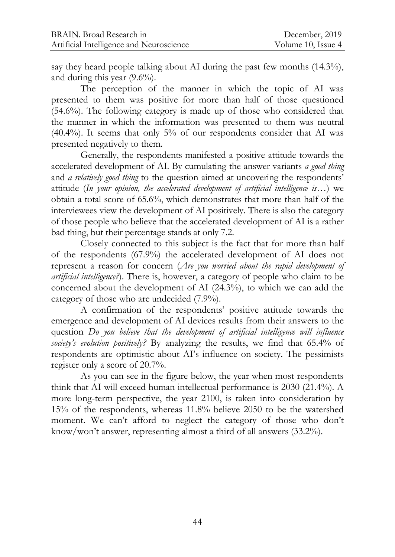say they heard people talking about AI during the past few months  $(14.3\%)$ , and during this year (9.6%).

The perception of the manner in which the topic of AI was presented to them was positive for more than half of those questioned (54.6%). The following category is made up of those who considered that the manner in which the information was presented to them was neutral  $(40.4\%)$ . It seems that only 5% of our respondents consider that AI was presented negatively to them.

Generally, the respondents manifested a positive attitude towards the accelerated development of AI. By cumulating the answer variants *a good thing* and *a relatively good thing* to the question aimed at uncovering the respondents' attitude (*In your opinion, the accelerated development of artificial intelligence is…*) we obtain a total score of 65.6%, which demonstrates that more than half of the interviewees view the development of AI positively. There is also the category of those people who believe that the accelerated development of AI is a rather bad thing, but their percentage stands at only 7.2.

Closely connected to this subject is the fact that for more than half of the respondents (67.9%) the accelerated development of AI does not represent a reason for concern (*Are you worried about the rapid development of artificial intelligence?*). There is, however, a category of people who claim to be concerned about the development of AI (24.3%), to which we can add the category of those who are undecided (7.9%).

A confirmation of the respondents' positive attitude towards the emergence and development of AI devices results from their answers to the question *Do you believe that the development of artificial intelligence will influence society's evolution positively?* By analyzing the results, we find that 65.4% of respondents are optimistic about AI's influence on society. The pessimists register only a score of 20.7%.

As you can see in the figure below, the year when most respondents think that AI will exceed human intellectual performance is 2030 (21.4%). A more long-term perspective, the year 2100, is taken into consideration by 15% of the respondents, whereas 11.8% believe 2050 to be the watershed moment. We can't afford to neglect the category of those who don't know/won't answer, representing almost a third of all answers (33.2%).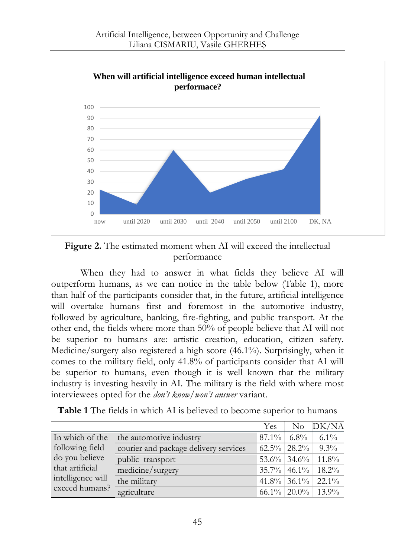



When they had to answer in what fields they believe AI will outperform humans, as we can notice in the table below (Table 1), more than half of the participants consider that, in the future, artificial intelligence will overtake humans first and foremost in the automotive industry, followed by agriculture, banking, fire-fighting, and public transport. At the other end, the fields where more than 50% of people believe that AI will not be superior to humans are: artistic creation, education, citizen safety. Medicine/surgery also registered a high score (46.1%). Surprisingly, when it comes to the military field, only 41.8% of participants consider that AI will be superior to humans, even though it is well known that the military industry is investing heavily in AI. The military is the field with where most interviewees opted for the *don't know/won't answer* variant.

|                   |                                       | Yes. | No DK/NA              |
|-------------------|---------------------------------------|------|-----------------------|
| In which of the   | the automotive industry               |      | $87.1\%$ 6.8% 6.1%    |
| following field   | courier and package delivery services |      | $62.5\%$ 28.2\% 9.3\% |
| do you believe    | public transport                      |      | 53.6% 34.6% 11.8%     |
| that artificial   | medicine/surgery                      |      | 35.7% 46.1% 18.2%     |
| intelligence will | the military                          |      | $41.8\%$ 36.1% 22.1%  |
| exceed humans?    | agriculture                           |      | $66.1\%$ 20.0% 13.9%  |

**Table 1** The fields in which AI is believed to become superior to humans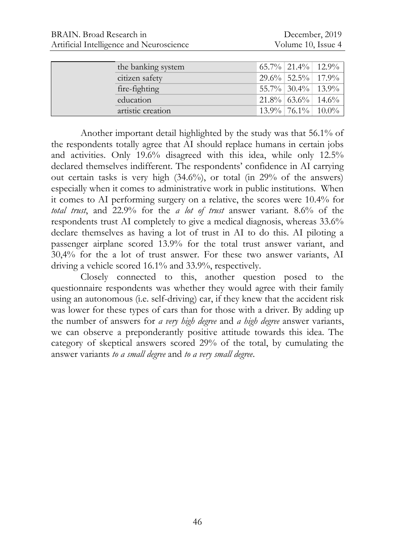| the banking system | $65.7\%$ 21.4% 22.9% |  |
|--------------------|----------------------|--|
| citizen safety     | $29.6\%$ 52.5% 17.9% |  |
| fire-fighting      | 55.7% 30.4% 13.9%    |  |
| education          | $21.8\%$ 63.6% 14.6% |  |
| artistic creation  | $13.9\%$ 76.1% 10.0% |  |

Another important detail highlighted by the study was that 56.1% of the respondents totally agree that AI should replace humans in certain jobs and activities. Only 19.6% disagreed with this idea, while only 12.5% declared themselves indifferent. The respondents' confidence in AI carrying out certain tasks is very high (34.6%), or total (in 29% of the answers) especially when it comes to administrative work in public institutions. When it comes to AI performing surgery on a relative, the scores were 10.4% for *total trust*, and 22.9% for the *a lot of trust* answer variant. 8.6% of the respondents trust AI completely to give a medical diagnosis, whereas 33.6% declare themselves as having a lot of trust in AI to do this. AI piloting a passenger airplane scored 13.9% for the total trust answer variant, and 30,4% for the a lot of trust answer. For these two answer variants, AI driving a vehicle scored 16.1% and 33.9%, respectively.

Closely connected to this, another question posed to the questionnaire respondents was whether they would agree with their family using an autonomous (i.e. self-driving) car, if they knew that the accident risk was lower for these types of cars than for those with a driver. By adding up the number of answers for *a very high degree* and *a high degree* answer variants, we can observe a preponderantly positive attitude towards this idea. The category of skeptical answers scored 29% of the total, by cumulating the answer variants *to a small degree* and *to a very small degree*.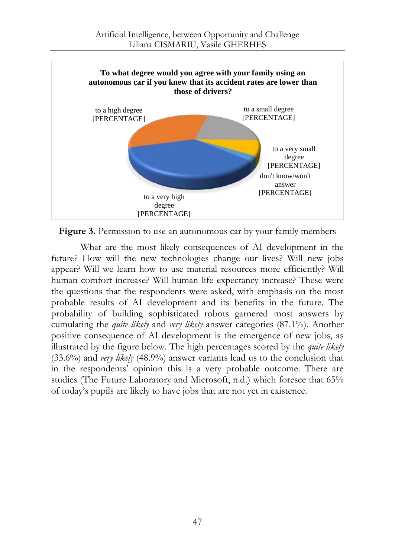

**Figure 3.** Permission to use an autonomous car by your family members

What are the most likely consequences of AI development in the future? How will the new technologies change our lives? Will new jobs appear? Will we learn how to use material resources more efficiently? Will human comfort increase? Will human life expectancy increase? These were the questions that the respondents were asked, with emphasis on the most probable results of AI development and its benefits in the future. The probability of building sophisticated robots garnered most answers by cumulating the *quite likely* and *very likely* answer categories (87.1%). Another positive consequence of AI development is the emergence of new jobs, as illustrated by the figure below. The high percentages scored by the *quite likely* (33.6%) and *very likely* (48.9%) answer variants lead us to the conclusion that in the respondents' opinion this is a very probable outcome. There are studies (The Future Laboratory and Microsoft, n.d.) which foresee that 65% of today's pupils are likely to have jobs that are not yet in existence.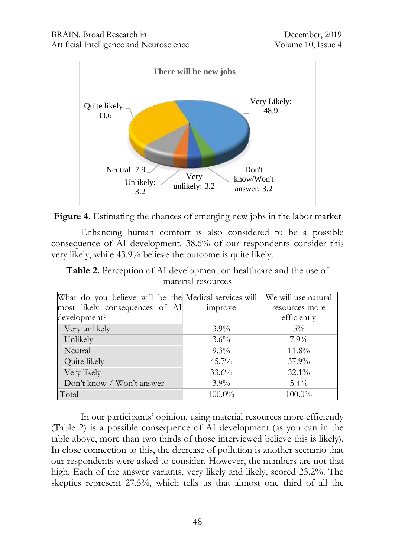



Enhancing human comfort is also considered to be a possible consequence of AI development. 38.6% of our respondents consider this very likely, while 43.9% believe the outcome is quite likely.

**Table 2.** Perception of AI development on healthcare and the use of material resources

| What do you believe will be the Medical services will   We will use natural |          |                |
|-----------------------------------------------------------------------------|----------|----------------|
| most likely consequences of AI                                              | improve  | resources more |
| development?                                                                |          | efficiently    |
| Very unlikely                                                               | $3.9\%$  | $5\%$          |
| Unlikely                                                                    | $3.6\%$  | $7.9\%$        |
| Neutral                                                                     | $9.3\%$  | 11.8%          |
| Quite likely                                                                | $45.7\%$ | $37.9\%$       |
| Very likely                                                                 | $33.6\%$ | $32.1\%$       |
| Don't know / Won't answer                                                   | $3.9\%$  | $5.4\%$        |
| Total                                                                       | 100.0%   | $100.0\%$      |

In our participants' opinion, using material resources more efficiently (Table 2) is a possible consequence of AI development (as you can in the table above, more than two thirds of those interviewed believe this is likely). In close connection to this, the decrease of pollution is another scenario that our respondents were asked to consider. However, the numbers are not that high. Each of the answer variants, very likely and likely, scored 23.2%. The skeptics represent 27.5%, which tells us that almost one third of all the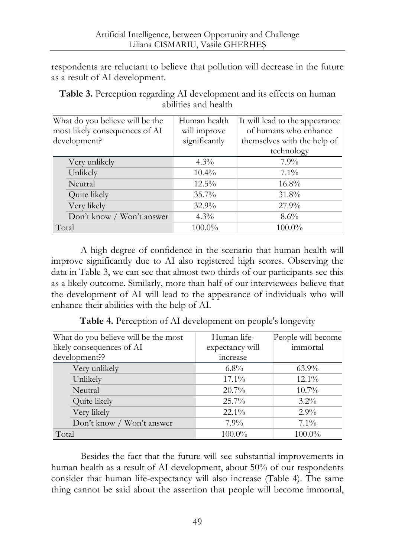respondents are reluctant to believe that pollution will decrease in the future as a result of AI development.

| Table 3. Perception regarding AI development and its effects on human |
|-----------------------------------------------------------------------|
| abilities and health                                                  |

| What do you believe will be the<br>most likely consequences of AI<br>development? | Human health<br>will improve<br>significantly | It will lead to the appearance<br>of humans who enhance<br>themselves with the help of |
|-----------------------------------------------------------------------------------|-----------------------------------------------|----------------------------------------------------------------------------------------|
|                                                                                   |                                               | technology                                                                             |
| Very unlikely                                                                     | $4.3\%$                                       | $7.9\%$                                                                                |
| Unlikely                                                                          | $10.4\%$                                      | $7.1\%$                                                                                |
| Neutral                                                                           | $12.5\%$                                      | $16.8\%$                                                                               |
| Quite likely                                                                      | $35.7\%$                                      | $31.8\%$                                                                               |
| Very likely                                                                       | $32.9\%$                                      | $27.9\%$                                                                               |
| Don't know / Won't answer                                                         | $4.3\%$                                       | $8.6\%$                                                                                |
| Total                                                                             | $100.0\%$                                     | $100.0\%$                                                                              |

A high degree of confidence in the scenario that human health will improve significantly due to AI also registered high scores. Observing the data in Table 3, we can see that almost two thirds of our participants see this as a likely outcome. Similarly, more than half of our interviewees believe that the development of AI will lead to the appearance of individuals who will enhance their abilities with the help of AI.

| Table 4. Perception of AI development on people's longevity |              |                  |
|-------------------------------------------------------------|--------------|------------------|
| t do vou believe will be the most                           | - Human life | People will beca |

| What do you believe will be the most | Human life-     | People will become |
|--------------------------------------|-----------------|--------------------|
| likely consequences of AI            | expectancy will | immortal           |
| development??                        | increase        |                    |
| Very unlikely                        | $6.8\%$         | $63.9\%$           |
| Unlikely                             | $17.1\%$        | $12.1\%$           |
| Neutral                              | $20.7\%$        | $10.7\%$           |
| Quite likely                         | $25.7\%$        | $3.2\%$            |
| Very likely                          | $22.1\%$        | $2.9\%$            |
| Don't know / Won't answer            | $7.9\%$         | $7.1\%$            |
| Total                                | $100.0\%$       | 100.0%             |

Besides the fact that the future will see substantial improvements in human health as a result of AI development, about 50% of our respondents consider that human life-expectancy will also increase (Table 4). The same thing cannot be said about the assertion that people will become immortal,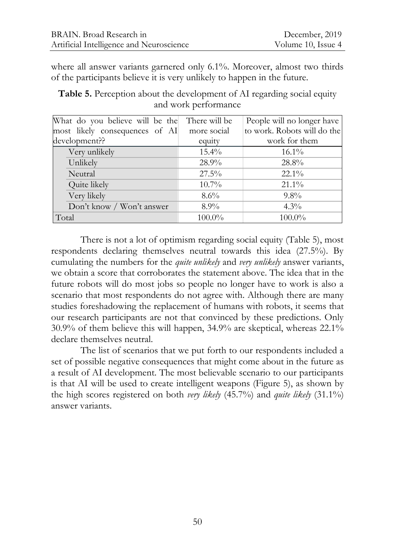where all answer variants garnered only 6.1%. Moreover, almost two thirds of the participants believe it is very unlikely to happen in the future.

**Table 5.** Perception about the development of AI regarding social equity and work performance

| What do you believe will be the | There will be | People will no longer have  |
|---------------------------------|---------------|-----------------------------|
| most likely consequences of AI  | more social   | to work. Robots will do the |
| development??                   | equity        | work for them               |
| Very unlikely                   | $15.4\%$      | $16.1\%$                    |
| Unlikely                        | $28.9\%$      | 28.8%                       |
| Neutral                         | $27.5\%$      | $22.1\%$                    |
| Quite likely                    | $10.7\%$      | $21.1\%$                    |
| Very likely                     | $8.6\%$       | $9.8\%$                     |
| Don't know / Won't answer       | $8.9\%$       | $4.3\%$                     |
| Total                           | 100.0%        | 100.0%                      |

There is not a lot of optimism regarding social equity (Table 5), most respondents declaring themselves neutral towards this idea (27.5%). By cumulating the numbers for the *quite unlikely* and *very unlikely* answer variants, we obtain a score that corroborates the statement above. The idea that in the future robots will do most jobs so people no longer have to work is also a scenario that most respondents do not agree with. Although there are many studies foreshadowing the replacement of humans with robots, it seems that our research participants are not that convinced by these predictions. Only 30.9% of them believe this will happen, 34.9% are skeptical, whereas 22.1% declare themselves neutral.

The list of scenarios that we put forth to our respondents included a set of possible negative consequences that might come about in the future as a result of AI development. The most believable scenario to our participants is that AI will be used to create intelligent weapons (Figure 5), as shown by the high scores registered on both *very likely* (45.7%) and *quite likely* (31.1%) answer variants.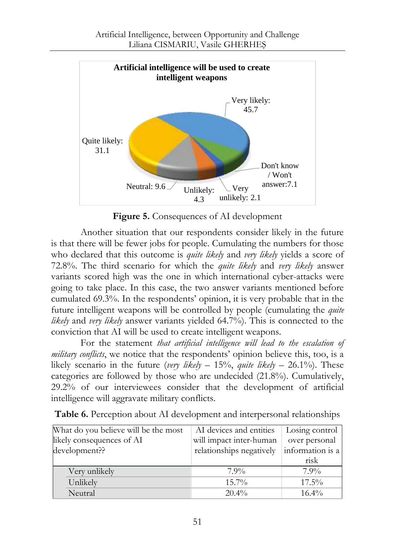

**Figure 5.** Consequences of AI development

Another situation that our respondents consider likely in the future is that there will be fewer jobs for people. Cumulating the numbers for those who declared that this outcome is *quite likely* and *very likely* yields a score of 72.8%. The third scenario for which the *quite likely* and *very likely* answer variants scored high was the one in which international cyber-attacks were going to take place. In this case, the two answer variants mentioned before cumulated 69.3%. In the respondents' opinion, it is very probable that in the future intelligent weapons will be controlled by people (cumulating the *quite likely* and *very likely* answer variants yielded 64.7%). This is connected to the conviction that AI will be used to create intelligent weapons.

For the statement *that artificial intelligence will lead to the escalation of military conflicts*, we notice that the respondents' opinion believe this, too, is a likely scenario in the future (*very likely* – 15%, *quite likely* – 26.1%). These categories are followed by those who are undecided (21.8%). Cumulatively, 29.2% of our interviewees consider that the development of artificial intelligence will aggravate military conflicts.

| What do you believe will be the most | AI devices and entities  | Losing control   |
|--------------------------------------|--------------------------|------------------|
| likely consequences of AI            | will impact inter-human  | over personal    |
| development??                        | relationships negatively | information is a |
|                                      |                          | risk             |
| Very unlikely                        | $7.9\%$                  | $7.9\%$          |
| Unlikely                             | $15.7\%$                 | $17.5\%$         |
| Neutral                              | $20.4\%$                 | $16.4\%$         |

**Table 6.** Perception about AI development and interpersonal relationships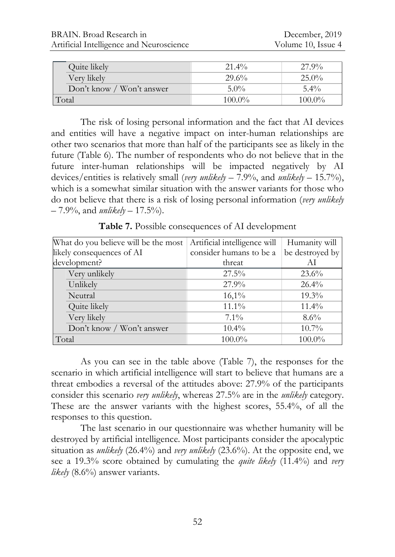| Quite likely              | $21.4\%$  | $27.9\%$  |
|---------------------------|-----------|-----------|
| Very likely               | 29.6%     | $25.0\%$  |
| Don't know / Won't answer | $5.0\%$   | $5.4\%$   |
| Total                     | $100.0\%$ | $100.0\%$ |

The risk of losing personal information and the fact that AI devices and entities will have a negative impact on inter-human relationships are other two scenarios that more than half of the participants see as likely in the future (Table 6). The number of respondents who do not believe that in the future inter-human relationships will be impacted negatively by AI devices/entities is relatively small (*very unlikely* – 7.9%, and *unlikely* – 15.7%), which is a somewhat similar situation with the answer variants for those who do not believe that there is a risk of losing personal information (*very unlikely* – 7.9%, and *unlikely* – 17.5%).

| What do you believe will be the most | Artificial intelligence will | Humanity will   |
|--------------------------------------|------------------------------|-----------------|
| likely consequences of AI            | consider humans to be a      | be destroyed by |
| development?                         | threat                       | ΑI              |
| Very unlikely                        | 27.5%                        | $23.6\%$        |
| Unlikely                             | 27.9%                        | $26.4\%$        |
| Neutral                              | $16,1\%$                     | $19.3\%$        |
| Quite likely                         | $11.1\%$                     | $11.4\%$        |
| Very likely                          | $7.1\%$                      | $8.6\%$         |
| Don't know / Won't answer            | $10.4\%$                     | $10.7\%$        |
| Total                                | 100.0%                       | $100.0\%$       |

**Table 7.** Possible consequences of AI development

As you can see in the table above (Table 7), the responses for the scenario in which artificial intelligence will start to believe that humans are a threat embodies a reversal of the attitudes above: 27.9% of the participants consider this scenario *very unlikely*, whereas 27.5% are in the *unlikely* category. These are the answer variants with the highest scores, 55.4%, of all the responses to this question.

The last scenario in our questionnaire was whether humanity will be destroyed by artificial intelligence. Most participants consider the apocalyptic situation as *unlikely* (26.4%) and *very unlikely* (23.6%). At the opposite end, we see a 19.3% score obtained by cumulating the *quite likely* (11.4%) and *very likely* (8.6%) answer variants.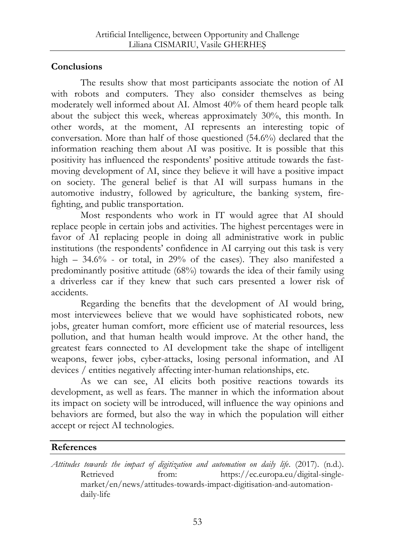## **Conclusions**

The results show that most participants associate the notion of AI with robots and computers. They also consider themselves as being moderately well informed about AI. Almost 40% of them heard people talk about the subject this week, whereas approximately 30%, this month. In other words, at the moment, AI represents an interesting topic of conversation. More than half of those questioned (54.6%) declared that the information reaching them about AI was positive. It is possible that this positivity has influenced the respondents' positive attitude towards the fastmoving development of AI, since they believe it will have a positive impact on society. The general belief is that AI will surpass humans in the automotive industry, followed by agriculture, the banking system, firefighting, and public transportation.

Most respondents who work in IT would agree that AI should replace people in certain jobs and activities. The highest percentages were in favor of AI replacing people in doing all administrative work in public institutions (the respondents' confidence in AI carrying out this task is very high – 34.6% - or total, in 29% of the cases). They also manifested a predominantly positive attitude (68%) towards the idea of their family using a driverless car if they knew that such cars presented a lower risk of accidents.

Regarding the benefits that the development of AI would bring, most interviewees believe that we would have sophisticated robots, new jobs, greater human comfort, more efficient use of material resources, less pollution, and that human health would improve. At the other hand, the greatest fears connected to AI development take the shape of intelligent weapons, fewer jobs, cyber-attacks, losing personal information, and AI devices / entities negatively affecting inter-human relationships, etc.

As we can see, AI elicits both positive reactions towards its development, as well as fears. The manner in which the information about its impact on society will be introduced, will influence the way opinions and behaviors are formed, but also the way in which the population will either accept or reject AI technologies.

# **References**

*Attitudes towards the impact of digitization and automation on daily life*. (2017). (n.d.). Retrieved from: [https://ec.europa.eu/digital-single](https://ec.europa.eu/digital-single-market/en/news/attitudes-towards-impact-digitisation-and-automation-daily-life)[market/en/news/attitudes-towards-impact-digitisation-and-automation](https://ec.europa.eu/digital-single-market/en/news/attitudes-towards-impact-digitisation-and-automation-daily-life)[daily-life](https://ec.europa.eu/digital-single-market/en/news/attitudes-towards-impact-digitisation-and-automation-daily-life)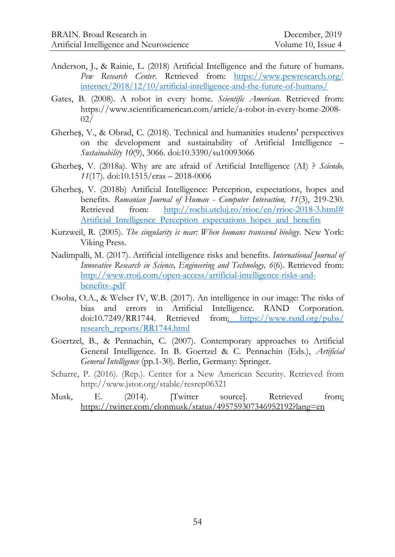- Anderson, J., & Rainie, L. (2018) Artificial Intelligence and the future of humans. *Pew Research Center*. Retrieved from: [https://www.pewresearch.org/](https://www.pewresearch.org/internet/2018/12/10/artificial-intelligence-and-the-future-of-humans/) [internet/2018/12/10/artificial-intelligence-and-the-future-of-humans/](https://www.pewresearch.org/internet/2018/12/10/artificial-intelligence-and-the-future-of-humans/)
- Gates, B. (2008). A robot in every home. *Scientific American*. Retrieved from: [https://www.scientificamerican.com/article/a-robot-in-every-home-2008-](https://www.scientificamerican.com/article/a-robot-in-every-home-2008-02/) [02/](https://www.scientificamerican.com/article/a-robot-in-every-home-2008-02/)
- Gherheș, V., & Obrad, C. (2018). Technical and humanities students' perspectives on the development and sustainability of Artificial Intelligence – *Sustainability 10*(9), 3066. doi:10.3390/su10093066
- Gherheș, V. (2018a). Why are are afraid of Artificial Intelligence (AI) ? *Sciendo, 11*(17). doi:10.1515/eras – 2018-0006
- Gherheș, V. (2018b) Artificial Intelligence: Perception, expectations, hopes and benefits. *Romanian Journal of Human - Computer Interaction, 11*(3), 219-230. Retrieved from: [http://rochi.utcluj.ro/rrioc/en/rrioc-2018-3.html#](http://rochi.utcluj.ro/rrioc/en/rrioc-2018-3.html#Artificial_Intelligence_Perception_expectations_hopes_and_benefits) Artificial Intelligence Perception expectations hopes and benefits
- Kurzweil, R. (2005). *The singularity is near: When humans transcend biology*. New York: Viking Press.
- Nadimpalli, M. (2017). Artificial intelligence risks and benefits. *International Journal of Innovative Research in Science, Engineering and Technology, 6*(6). Retrieved from: [http://www.rroij.com/open-access/artificial-intelligence-risks-and](http://www.rroij.com/open-access/artificial-intelligence-risks-and-benefits-.pdf)[benefits-.pdf](http://www.rroij.com/open-access/artificial-intelligence-risks-and-benefits-.pdf)
- Osoba, O.A., & Welser IV, W.B. (2017). An intelligence in our image: The risks of bias and errors in Artificial Intelligence. RAND Corporation. doi:10.7249/RR1744. Retrieved from: [https://www.rand.org/pubs/](https://www.rand.org/pubs/research_reports/RR1744.html) [research\\_reports/RR1744.html](https://www.rand.org/pubs/research_reports/RR1744.html)
- Goertzel, B., & Pennachin, C. (2007). Contemporary approaches to Artificial General Intelligence. In B. Goertzel & C. Pennachin (Eds.), *Artificial General Intelligence* (pp.1-30). Berlin, Germany: Springer.
- Scharre, P. (2016). (Rep.). Center for a New American Security. Retrieved from http://www.jstor.org/stable/resrep06321
- Musk, E. (2014). [Twitter source]. Retrieved from: <https://twitter.com/elonmusk/status/495759307346952192?lang=en>